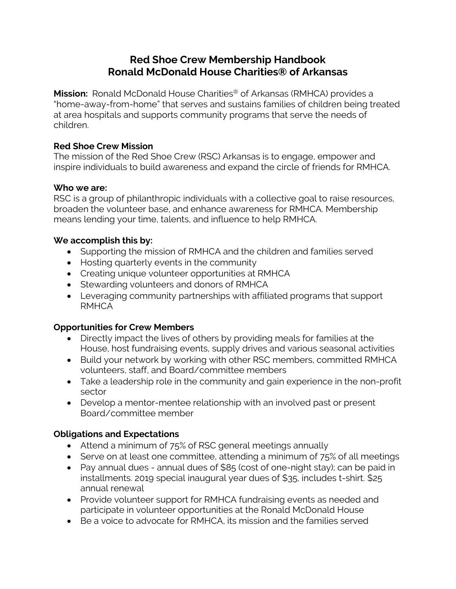# **Red Shoe Crew Membership Handbook Ronald McDonald House Charities® of Arkansas**

**Mission:** Ronald McDonald House Charities® of Arkansas (RMHCA) provides a "home-away-from-home" that serves and sustains families of children being treated at area hospitals and supports community programs that serve the needs of children.

### **Red Shoe Crew Mission**

The mission of the Red Shoe Crew (RSC) Arkansas is to engage, empower and inspire individuals to build awareness and expand the circle of friends for RMHCA.

#### **Who we are:**

RSC is a group of philanthropic individuals with a collective goal to raise resources, broaden the volunteer base, and enhance awareness for RMHCA. Membership means lending your time, talents, and influence to help RMHCA.

## **We accomplish this by:**

- Supporting the mission of RMHCA and the children and families served
- Hosting quarterly events in the community
- Creating unique volunteer opportunities at RMHCA
- Stewarding volunteers and donors of RMHCA
- Leveraging community partnerships with affiliated programs that support RMHCA

## **Opportunities for Crew Members**

- Directly impact the lives of others by providing meals for families at the House, host fundraising events, supply drives and various seasonal activities
- Build your network by working with other RSC members, committed RMHCA volunteers, staff, and Board/committee members
- Take a leadership role in the community and gain experience in the non-profit sector
- Develop a mentor-mentee relationship with an involved past or present Board/committee member

## **Obligations and Expectations**

- Attend a minimum of 75% of RSC general meetings annually
- Serve on at least one committee, attending a minimum of 75% of all meetings
- Pay annual dues annual dues of \$85 (cost of one-night stay); can be paid in installments. 2019 special inaugural year dues of \$35, includes t-shirt. \$25 annual renewal
- Provide volunteer support for RMHCA fundraising events as needed and participate in volunteer opportunities at the Ronald McDonald House
- Be a voice to advocate for RMHCA, its mission and the families served